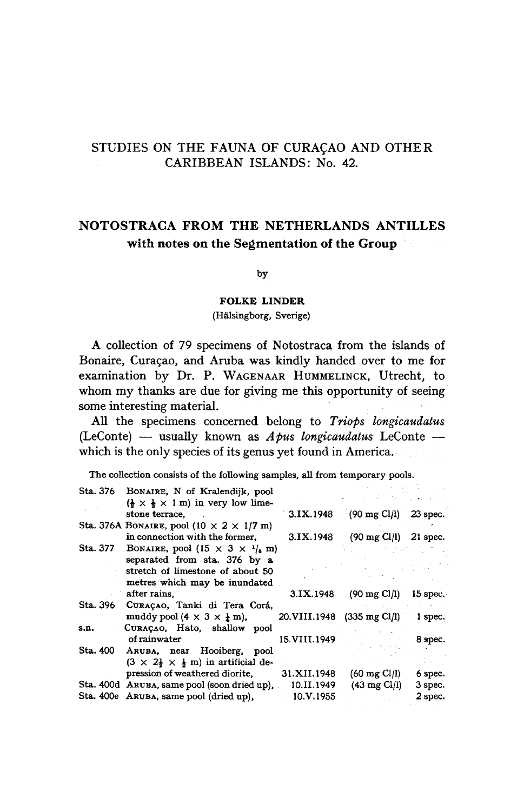# STUDIES ON THE FAUNA OF CURAÇAO AND OTHER CARIBBEAN ISLANDS: No. 42

## NOTOSTRACA FROM THE NETHERLANDS ANTILLES with notes on the Segmentation of the Group

by

#### Folke Linder

(Halsingborg, Sverige)

A collection of 79 specimens of Notostraca from the islands of Bonaire, Curaçao, and Aruba was kindly handed over to me for examination by Dr. P. WAGENAAR HUMMELINCK, Utrecht, to whom my thanks are due for giving me this opportunity of seeing some interesting material.

All the specimens concerned belong to Triops longicaudatus (LeConte) — usually known as  $A \rho u s$  longicaudatus LeConte which is the only species of its genus yet found in America.

The collection consists of the following samples, all from temporary pools.

|          | Sta. 376 BONAIRE, N of Kralendijk, pool                                  |                              |                                 |            |
|----------|--------------------------------------------------------------------------|------------------------------|---------------------------------|------------|
|          | $(\frac{1}{2} \times \frac{1}{2} \times 1 \text{ m})$ in very low lime-  |                              |                                 |            |
|          | stone terrace.                                                           | 3.1X.1948                    | $(90 \text{ mg Cl/l})$          | $23$ spec. |
|          | Sta. 376A BONAIRE, pool (10 $\times$ 2 $\times$ 1/7 m)                   |                              |                                 |            |
|          | in connection with the former.                                           | 3.IX.1948                    | $(90 \text{ mg Cl/l})$ 21 spec. |            |
| Sta. 377 | BONAIRE, pool (15 $\times$ 3 $\times$ $\frac{1}{s}$ m)                   |                              |                                 |            |
|          | separated from sta. 376 by a                                             |                              |                                 |            |
|          | stretch of limestone of about 50                                         |                              |                                 |            |
|          | metres which may be inundated                                            |                              |                                 |            |
|          | after rains.                                                             | 3.IX.1948                    | $(90 \text{ mg Cl/l})$          | $15$ spec. |
| Sta. 396 | CURAÇAO, Tanki di Tera Corá,                                             |                              |                                 |            |
|          | muddy pool $(4 \times 3 \times 1 \text{ m})$ ,                           | 20. VIII. 1948 (335 mg Cl/l) |                                 | l spec.    |
| s.n.     | CURACAO, Hato, shallow pool                                              |                              |                                 |            |
|          | of rainwater                                                             | 15.VIII.1949                 |                                 | 8 spec.    |
| Sta. 400 | ARUBA, near Hooiberg, pool                                               |                              |                                 |            |
|          | $(3 \times 2\frac{1}{2} \times \frac{1}{2} \text{ m})$ in artificial de- |                              |                                 |            |
|          | pression of weathered diorite,                                           | 31.XII.1948                  | $(60 \text{ mg Cl/l})$          | 6 spec.    |
|          | Sta. 400d ARUBA, same pool (soon dried up), 10.II.1949                   |                              | $(43 \text{ mg Cl/I})$          | 3 spec.    |
|          | Sta. 400e ARUBA, same pool (dried up),                                   | 10.V.1955                    |                                 | 2 spec.    |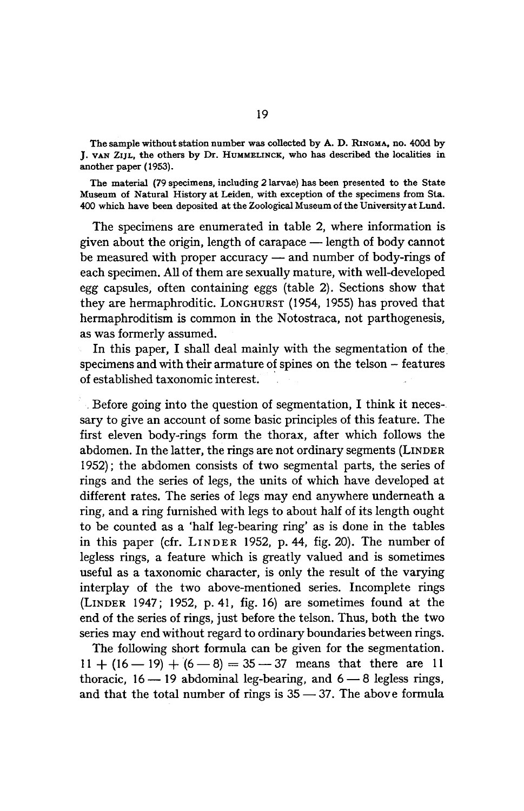The sample without station number was collected by A. D. RINGMA, no. 400d by J. VAN ZIJL, the others by Dr. IIUMMELINCK, who has described the localities in another paper (1953).

The material (79 specimens, including2 larvae) has been presented to the State Museum of Natural History atLeiden, with exception of the specimens from Sta. 400 which have been deposited at the Zoological Museum of the University at Lund.

The specimens are enumerated in table 2, where information is given about the origin, length of carapace — length of body cannot be measured with proper accuracy — and number of body-rings of each specimen. All of them are sexually mature, with well-developed egg capsules, often containing eggs (table 2). Sections show that they are hermaphroditic. LONGHURST (1954, 1955) has proved that hermaphroditism is common in the Notostraca, not parthogenesis, as was formerly assumed.

In this paper, I shall deal mainly with the segmentation of the specimens and with their armature of spines on the telson – features of established taxonomic interest.

Before going into the question of segmentation, I think it necessary to give an account of some basic principles of this feature. The first eleven body-rings form the thorax, after which follows the abdomen. In the latter, the rings are not ordinary segments (LINDER 1952); the abdomen consists of two segmental parts, the series of rings and the series of legs, the units of which have developed at different rates. The series of legs may end anywhere underneath a ring, and <sup>a</sup> ring furnishedwith legs to about half of its length ought to be counted as <sup>a</sup> 'half leg-bearing ring' as is done in the tables in this paper (cfr. LINDER 1952, p. 44, fig. 20). The number of legless rings, a feature which is greatly valued and is sometimes useful as a taxonomic character, is only the result of the varying interplay of the two above-mentioned series. Incomplete rings (LINDER 1947; 1952, p. 41, fig. 16) are sometimes found at the end of the series of rings, just before the telson. Thus, both the two series may end without regard to ordinary boundaries between rings.

The following short formula can be given for the segmentation.  $11 + (16 - 19) + (6 - 8) = 35 - 37$  means that there are 11 thoracic,  $16 - 19$  abdominal leg-bearing, and  $6 - 8$  legless rings, and that the total number of rings is  $35 - 37$ . The above formula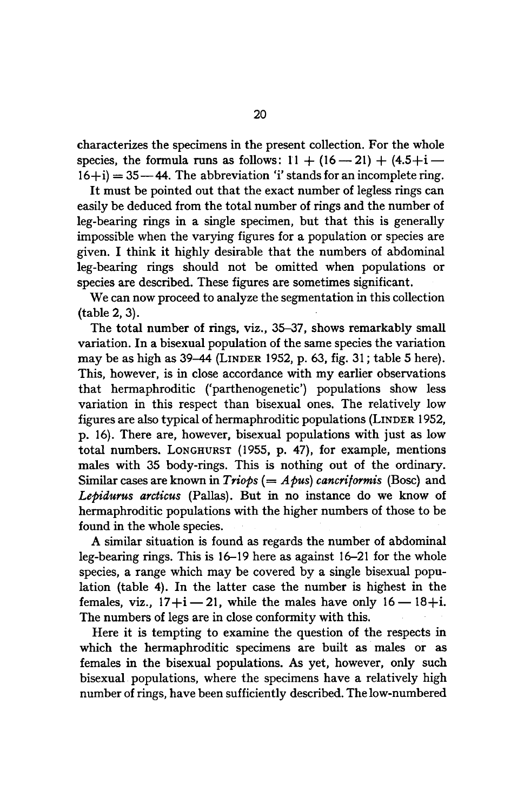characterizes the specimens in the present collection. For the whole species, the formula runs as follows:  $11 + (16 - 21) + (4.5 + i 16+i$  = 35 – 44. The abbreviation 'i' stands for an incomplete ring.

It must be pointed out that the exact numberof legless rings can easily be deduced from the total numberof rings and the numberof leg-bearing rings in <sup>a</sup> single specimen, but that this is generally impossible when the varying figures for a population or species are given. I think it highly desirable that the numbers of abdominal leg-bearing rings should not be omitted when populations or species are described. These figures are sometimes significant.

We can now proceed to analyze the segmentation in this collection (table 2, 3).

The total number of rings, viz., 35-37, shows remarkably small variation. In a bisexual population of the same species the variation may be as high as 39-44 (LINDER 1952, p. 63, fig. 31; table <sup>5</sup> here). This, however, is in close accordance with my earlier observations that hermaphroditic ('parthenogenetic') populations show less variation in this respect than bisexual ones. The relatively low figures are also typical of hermaphroditic populations (LINDER 1952, p. 16). There are, however, bisexual populations with just as low total numbers. LONGHURST (1955, p. 47), for example, mentions males with <sup>35</sup> body-rings. This is nothing out of the ordinary. Similar cases are known in *Triops* (=  $A$ *pus*) *cancriformis* (Bosc) and Lepidurus arcticus (Pallas). But in no instance do we know of hermaphroditic populations with the higher numbers of those to be found in the whole species.

A similar situation is found as regards the number of abdominal leg-bearing rings. This is 16-19 here as against 16-21 for the whole species, a range which may be covered by a single bisexual population (table 4). In the latter case the number is highest in the females, viz.,  $17+i$  — 21, while the males have only  $16$  —  $18+i$ . The numbers of legs are in close conformity with this.

Here it is tempting to examine the question of the respects in which the hermaphroditic specimens are built as males or as females in the bisexual populations. As yet, however, only such bisexual populations, where the specimens have a relatively high number of rings, have been sufficiently described. The low-numbered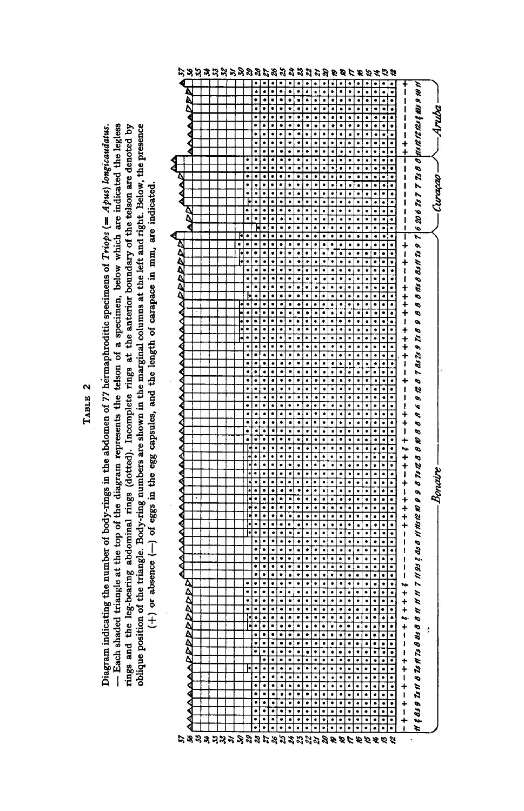Diagram indicating the number ፞ద  $\cdots$ in the abdomen č .<br>7 hermaphroditic specimens ัธ  $\cdot$  $\blacksquare$ Apus) longicaudatus. — Each shaded triangle at the top ቴ the diagram represents the telson ofa specimen,  $\mathbf{v}$  $\mathbf{v}$ are indicated  $\mathbf{t}$ legless rings and the leg-bearing top of the diagram represents the telt<br>dominal rings (dotted). Incomplete rin at the contract of the contract of the contract of the contract of the contract of the contract of the contract of the contract of the contract of the contract of the contract of the contract of the contract of the contract o anterior boundary ិ៍ the telson are denoted **by**  $\sim$ position of the triangle.  $\equiv$ numbers are  $\overline{\phantom{a}}$ in the marginal  $$ at the e. and right. Below, the  $\mathbf{p}$ .T a absence pdy-rma<br>of eggs eggs t<br>g egg capsules, and the length č in mm, are



TABLE 2 TABLE 2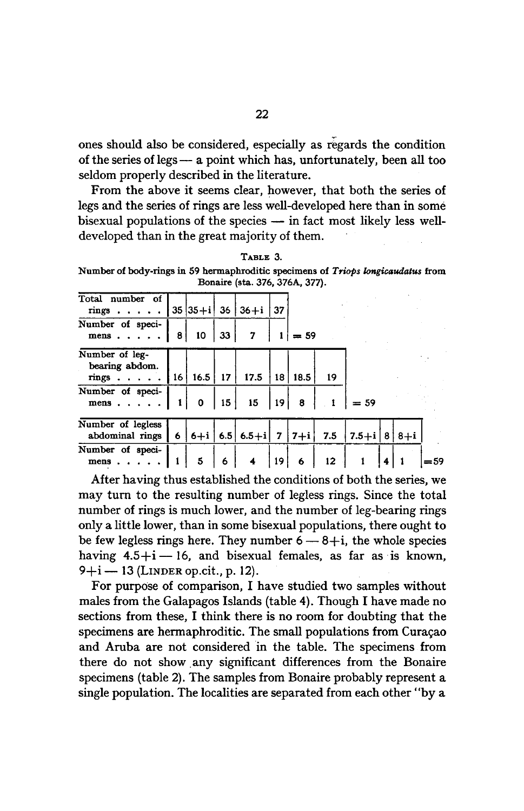ones should also be considered, especially as regards the condition of the series of legs — a point which has, unfortunately, been all too seldom properly described in the literature.

From the above it seems clear, however, that both the series of legs and the series of rings are less well-developed here than in some bisexual populations of the species — in fact most likely less welldeveloped than in the great majority of them.

TABLE 3.

Number of body-rings in 59 hermaphroditic specimens of Triops longicaudatus from Bonaire (sta. 376, 376A, 377).

| Total number of<br>rings                     |                 | $35 35+1 36$ |                 | 36+i                        | -37 |        |     |                     |   |     |
|----------------------------------------------|-----------------|--------------|-----------------|-----------------------------|-----|--------|-----|---------------------|---|-----|
| Number of speci-<br>mens $\ldots$            | 8               | 10           | 33              | 7                           |     | $= 59$ |     |                     |   |     |
| Number of leg-<br>bearing abdom.<br>rings.   | 16 <sup>1</sup> | $16.5$   17  |                 | 17.5                        | 18  | 18.5   | 19  |                     |   |     |
| Number of speci-<br>$mens \cdot \cdot \cdot$ |                 | 0            | 15 <sup>1</sup> | 15 <sub>15</sub>            | 19  | 8      |     | $= 59$              |   |     |
| Number of legless<br>abdominal rings         | $6\overline{6}$ |              |                 | $ 6+i $ 6.5 6.5 + i 7 7 + i |     |        | 7.5 | $ 7.5 + i  8 8 + i$ |   |     |
| Number of speci-<br>mens                     |                 | 5            | 6               | 4                           | 19  | 6      | 12  |                     | 4 | =59 |

After having thus established the conditions of both the series, we may turn to the resulting number of legless rings. Since the total number of rings is much lower, and the number of leg-bearing rings only a little lower, than in some bisexual populations, there ought to be few legless rings here. They number  $6 - 8 + i$ , the whole species having  $4.5+i-16$ , and bisexual females, as far as is known,  $9 + i - 13$  (LINDER op.cit., p. 12).

For purpose of comparison, I have studied two samples without males from the Galapagos Islands (table 4). Though I have made no sections from these, I think there is no room for doubting that the specimens are hermaphroditic. The small populations from Curacao and Aruba are not considered in the table. The specimens from there do not show any significant differences from the Bonaire specimens (table 2). The samples from Bonaire probably represent a single population. The localities are separated from each other"by a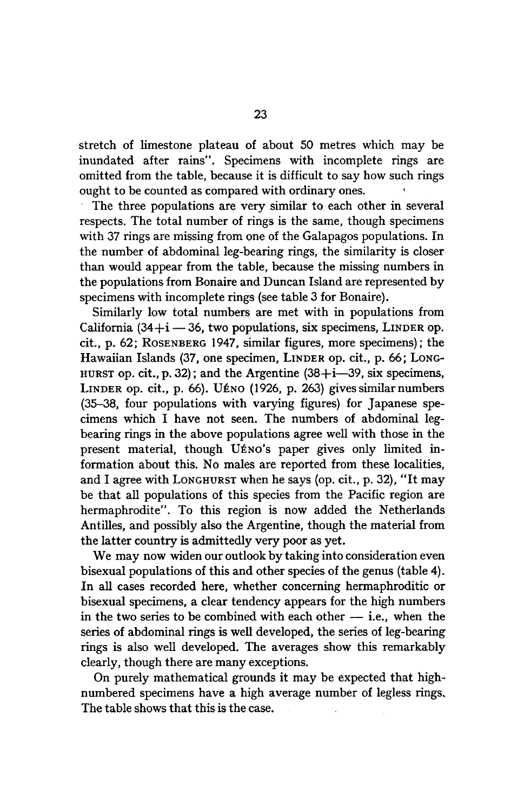stretch of limestone plateau of about 50 metres which may be inundated after rains". Specimens with incomplete rings are omitted from the table, because it is difficult to say how such rings ought to be counted as compared with ordinary ones.

The three populations are very similar to each other in several respects. The total number of rings is the same, though specimens with <sup>37</sup> rings are missing from one of the Galapagos populations. In the number of abdominal leg-bearing rings, the similarity is closer than would appear from the table, because the missing numbers in the populations from Bonaire and Duncan Island are represented by specimens with incomplete rings (see table 3 for Bonaire).

Similarly low total numbers are met with in populations from California  $(34+i - 36)$ , two populations, six specimens, LINDER op. cit., p. 62; ROSENBERG 1947, similar figures, more specimens); the Hawaiian Islands (37, one specimen, LINDER op. cit., p. 66; LONG-HURST op. cit., p. 32); and the Argentine  $(38+i-39)$ , six specimens, LINDER op. cit., p. 66). UÉNO (1926, p. 263) gives similar numbers (35-38, four populations with varying figures) for Japanese specimens which I have not seen. The numbers of abdominal legbearing rings in the above populations agree well with those in the present material, though UÉNO's paper gives only limited information about this. No males are reported from these localities, and I agree with LONGHURST when he says (op. cit., p. 32), "It may be that all populations of this species from the Pacific region are hermaphrodite". To this region is now added the Netherlands Antilles, and possibly also the Argentine, though the material from the latter country is admittedly very poor as yet.

We may now widen our outlook by taking into consideration even bisexual populations of this and other species of the genus (table 4). In all cases recorded here, whether concerning hermaphroditic or bisexual specimens, a clear tendency appears for the high numbers in the two series to be combined with each other — i.e., when the series of abdominal rings is well developed, the series of leg-bearing rings is also well developed. The averages show this remarkably clearly, though there are many exceptions.

On purely mathematical grounds it may be expected that highnumbered specimens have a high average number of legless rings. The table shows that this is the case.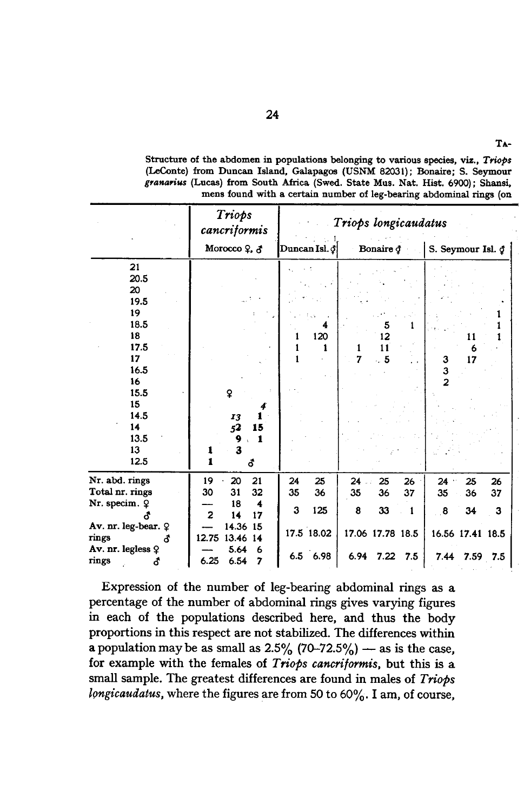|                     | Triops<br>cancriformis     | Triops longicaudatus |                      |                   |  |  |  |  |  |
|---------------------|----------------------------|----------------------|----------------------|-------------------|--|--|--|--|--|
|                     | Morocco 9, 3               | Duncan Isl. §        | Bonaire $\Phi$       | S. Seymour Isl. § |  |  |  |  |  |
| 21                  |                            |                      |                      |                   |  |  |  |  |  |
| 20.5                |                            |                      |                      |                   |  |  |  |  |  |
| 20                  |                            |                      |                      |                   |  |  |  |  |  |
| 19.5                |                            |                      |                      |                   |  |  |  |  |  |
| 19                  |                            |                      |                      |                   |  |  |  |  |  |
| 18.5                |                            | 4                    | 5                    |                   |  |  |  |  |  |
| 18                  |                            | 120                  | 12                   | 11                |  |  |  |  |  |
| 17.5                |                            | 1                    | 1<br>11              | 6                 |  |  |  |  |  |
| 17                  |                            |                      | 7<br>.5              | 17<br>3           |  |  |  |  |  |
| 16.5                |                            |                      |                      | 3                 |  |  |  |  |  |
| 16                  |                            |                      |                      | $\overline{2}$    |  |  |  |  |  |
| 15.5                | ¥                          |                      |                      |                   |  |  |  |  |  |
| 15                  | 4                          |                      |                      |                   |  |  |  |  |  |
| 14.5                | 1<br>13                    |                      |                      |                   |  |  |  |  |  |
| 14                  | 52<br>15                   |                      |                      |                   |  |  |  |  |  |
| 13.5                | $\mathbf{1}$<br>9          |                      |                      |                   |  |  |  |  |  |
| 13                  | 3<br>1                     |                      |                      |                   |  |  |  |  |  |
| 12.5                | $\mathbf{1}$<br>ô          |                      |                      |                   |  |  |  |  |  |
| Nr. abd. rings      | 19<br>20<br>21             | 25<br>24             | $24$ .<br>25<br>26   | 24<br>25<br>26    |  |  |  |  |  |
| Total nr. rings     | 30<br>31<br>32             | 35<br>36             | 35<br>36<br>37       | 37<br>35<br>36    |  |  |  |  |  |
| Nr. specim. 9       | 18<br>4                    | 3<br>125             |                      |                   |  |  |  |  |  |
|                     | $\overline{2}$<br>14<br>17 |                      | 8<br>33<br>1         | 8<br>34<br>3      |  |  |  |  |  |
| Av. nr. leg-bear. ? | 14.36 15                   | 17.5 18.02           | 17.06 17.78 18.5     |                   |  |  |  |  |  |
| rings<br>đ          | 12.75<br>13.46 14          |                      |                      | 16.56 17.41 18.5  |  |  |  |  |  |
| Av. nr. legless ♀   | 5.64<br>6                  | 6.5 6.98             | 6.94<br>$7.22$ $7.5$ | 7.44<br>7.59 7.5  |  |  |  |  |  |
| rings<br>đ          | 6.25<br>7<br>6.54          |                      |                      |                   |  |  |  |  |  |

Structure of the abdomen in populations belonging to various species, viz., Triops (LeConte) from Duncan Island, Galapagos (USNM 82031); Bonaire; S. Seymour granarius (Lucas) from South Africa (Swed. State Mus. Nat. Hist. 6900); Shansi, mens found with a certain number of leg-bearing abdominal rings (on

TA-

Expression of the number of leg-bearing abdominal rings as a percentage of the number of abdominal rings gives varying figures in each of the populations described here, and thus the body proportions in this respect are not stabilized. The differences within a population may be as small as  $2.5\%$  (70-72.5%) — as is the case, for example with the females of *Triops cancriformis*, but this is a small sample. The greatest differences are found in males of Triops  $l$ ongicaudatus, where the figures are from 50 to  $60\%$ . I am, of course,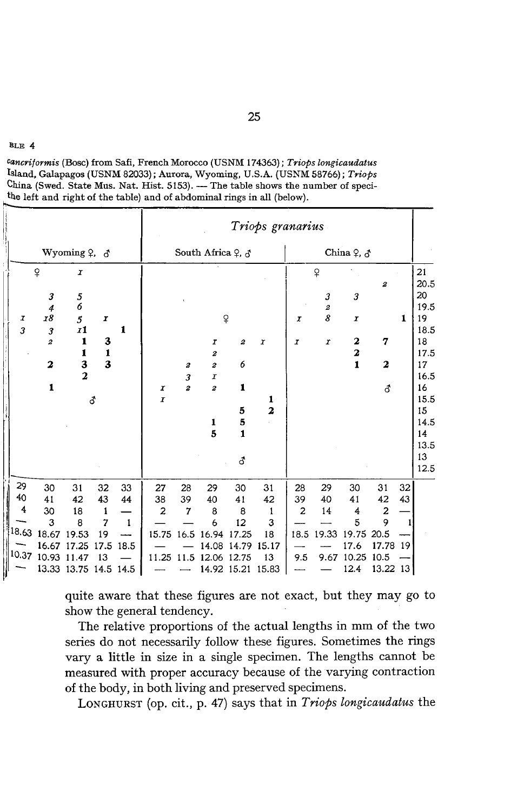Cancriformis (Bosc) from Safi, French Morocco (USNM 174363); Triops longicaudatus Island, Galapagos (USNM 82033); Aurora, Wyoming, U.S.A. (USNM 58766); Triops China (Swed. State Mus. Nat. Hist. 5153). — The table shows the number of specithe left and right of the table) and of abdominal rings in all (below).

|          |                         |                                |                         |              |                       |                         |                       |                      | Triops granarius |                            |                     |                                             |                               |    |            |
|----------|-------------------------|--------------------------------|-------------------------|--------------|-----------------------|-------------------------|-----------------------|----------------------|------------------|----------------------------|---------------------|---------------------------------------------|-------------------------------|----|------------|
|          |                         | Wyoming $2, 3$                 |                         |              |                       |                         | South Africa 9, δ     |                      |                  |                            |                     | China ${\mathcal Q},\,{\it d}$              |                               |    |            |
|          | $\overline{P}$          | $\pmb{x}$                      |                         |              |                       |                         |                       |                      |                  |                            | $\overline{P}$      |                                             | 2                             |    | 21<br>20.5 |
|          | 3<br>$\boldsymbol{4}$   | 5<br>6                         |                         |              |                       |                         |                       |                      |                  |                            | 3<br>$\overline{2}$ | 3                                           |                               |    | 20<br>19.5 |
| I<br>3   | 18<br>3                 | $\mathfrak{z}$<br><i>x</i> 1   | I                       | 1            |                       |                         |                       | $\mathsf{P}$         |                  | $\boldsymbol{\mathcal{I}}$ | 8                   | $\boldsymbol{\mathcal{I}}$                  |                               | 1  | 19<br>18.5 |
|          | $\overline{a}$          | 1<br>1                         | 3<br>$\mathbf{1}$       |              |                       |                         | $\boldsymbol{I}$<br>2 | $\boldsymbol{2}$     | $\boldsymbol{I}$ | $\pmb{\mathcal{I}}$        | I                   | $\boldsymbol{2}$<br>$\overline{\mathbf{2}}$ | 7                             |    | 18<br>17.5 |
|          | $\overline{\mathbf{z}}$ | $\frac{3}{2}$                  | $\overline{\mathbf{3}}$ |              |                       | $\pmb{2}$<br>3          | $\boldsymbol{2}$<br>I | 6                    |                  |                            |                     | $\mathbf{1}$                                | $\overline{\mathbf{z}}$       |    | 17<br>16.5 |
|          | $\mathbf{1}$            |                                | <b>්</b>                |              | I<br>$\boldsymbol{I}$ | $\overline{\mathbf{z}}$ | $\boldsymbol{z}$      | $\mathbf{1}$         | 1                |                            |                     |                                             | ₫                             |    | 16<br>15.5 |
|          |                         |                                |                         |              |                       |                         | 1                     | 5<br>5               | 2                |                            |                     |                                             |                               |    | 15<br>14.5 |
|          |                         |                                |                         |              |                       |                         | 5                     | $\mathbf{1}$         |                  |                            |                     |                                             |                               |    | 14<br>13.5 |
|          |                         |                                |                         |              |                       |                         |                       | ර                    |                  |                            |                     |                                             |                               |    | 13<br>12.5 |
| 29<br>40 | 30                      | 31                             | 32                      | 33           | 27                    | 28                      | 29                    | 30                   | 31               | 28                         | 29                  | 30                                          | 31                            | 32 |            |
| 4        | 41<br>30                | 42<br>18                       | 43<br>1                 | 44           | 38<br>$\overline{2}$  | 39<br>7                 | 40<br>8               | 41<br>8              | 42<br>1          | 39<br>$\overline{c}$       | 40<br>14            | 41<br>4                                     | 42<br>$\overline{\mathbf{c}}$ | 43 |            |
|          | 3                       | 8                              | $\overline{7}$          | $\mathbf{1}$ |                       |                         | 6                     | 12                   | 3                |                            |                     | $\overline{5}$                              | 9                             |    |            |
| 18.63    | 18.67                   | 19.53                          | 19                      |              | 15.75                 | 16.5                    | 16.94                 | 17.25                | 18               | 18.5                       | 19.33               | 19.75                                       | 20.5                          |    |            |
| 10.37    | 16.67                   | 17.25                          | 17.5                    | 18.5         |                       |                         | 14.08                 | 14.79                | 15.17            |                            |                     | 17.6                                        | 17.78                         | 19 |            |
|          | 10.93                   | 11.47<br>13.33 13.75 14.5 14.5 | 13                      |              | 11.25 11.5            |                         | 12.06                 | 12.75<br>14.92 15.21 | 13<br>15.83      | 9.5                        |                     | 9.67 10.25<br>12.4                          | 10.5<br>13.22 13              |    |            |

quite aware that these figures are not exact, but they may go to show the general tendency.

The relative proportions of the actual lengths in mm of the two series do not necessarily follow these figures. Sometimes the rings vary <sup>a</sup> little in size in <sup>a</sup> single specimen. The lengths cannot be measured with proper accuracy because of the varying contraction of the body, in both living and preserved specimens.

LONGHURST (op. cit., p. 47) says that in Triops longicaudatus the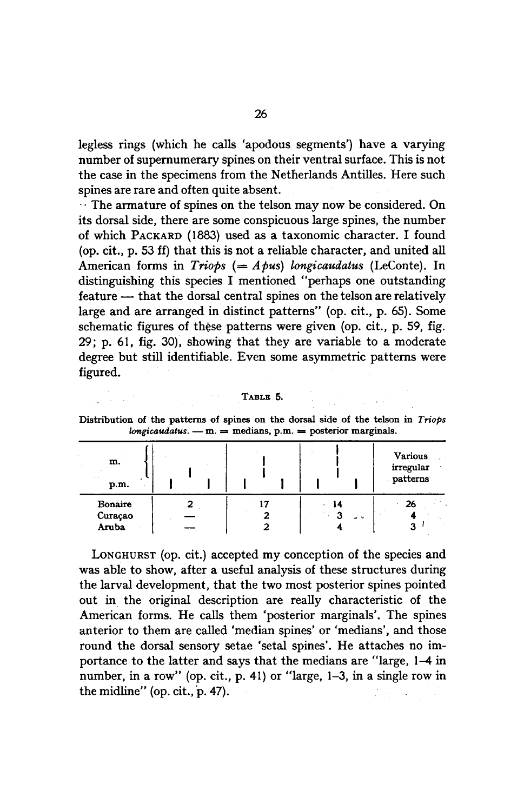legless rings (which he calls 'apodous segments') have a varying number of supernumerary spines on their ventral surface. This is not the case in the specimens from the Netherlands Antilles. Here such spines are rare and often quite absent.

 $\cdots$  The armature of spines on the telson may now be considered. On its dorsal side, there are some conspicuous large spines, the number of which PACKARD (1883) used as <sup>a</sup> taxonomic character. I found (op. cit., p. 53 ff) that this is not a reliable character, and unitedall American forms in *Triops* (=  $A$ *pus*) longicaudatus (LeConte). In distinguishing this species I mentioned "perhaps one outstanding feature — that the dorsal central spines on the telson are relatively large and are arranged in distinct patterns" (op. cit., p. 65). Some schematic figures of these patterns were given (op. cit., p. 59, fig. 29; p. 61, fig. 30), showing that they are variable to <sup>a</sup> moderate degree but still identifiable. Even some asymmetric patterns were figured.

#### TABLE 5.

| $\cdot$                     | . .     |     |                                         |
|-----------------------------|---------|-----|-----------------------------------------|
| m.<br>p.m.                  |         |     | <b>Various</b><br>irregular<br>patterns |
| Bonaire<br>Curaçao<br>Aruba | ٠,<br>2 | $-$ | 26<br>n                                 |

Distribution of the patterns of spines on the dorsal side of the telson in Triops  $longicaudatus. - m. = medians, p.m. = posterior marginals.$ 

LONGHURST (op. cit.) accepted my conception of the species and was able to show, after a useful analysis of these structures during the larval development, that the two most posterior spines pointed out in the original description are really characteristic of the American forms. He calls them 'posterior marginals'. The spines anterior to them are called 'median spines' or 'medians', and those round the dorsal sensory setae 'setal spines'. He attaches no importance to the latterand says that the medians are "large, 1-4 in number, in a row" (op. cit., p. 41) or "large, 1-3, in a single row in the midline"(op. cit., p. 47).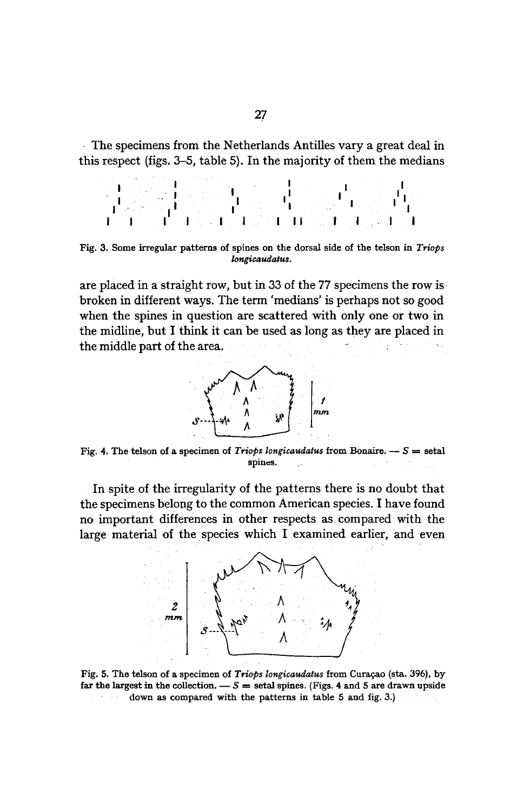The specimens from the Netherlands Antilles vary <sup>a</sup> great deal in this respect (figs.  $3-5$ , table 5). In the majority of them the medians

Fig. 3. Some irregular patterns of spines onthe dorsal side of the telson in Triops longicaudatus.

are placed in a straight row, but in 33 of the 77 specimens the row is broken in differentways. The term 'medians' is perhaps not so good when the spines in question are scattered with only one or two in the midline, but I think it can be used as long as they are placed in the middle part of the area.



Fig. 4. The telson of a specimen of *Triops longicaudatus* from Bonaire.  $- S =$  setal spines.  $\mathcal{A}$ 

In spite of the irregularity of the patterns there is no doubt that the specimens belong to the common American species. I have found no important differences in other respects as compared with the large material of the species which I examined earlier, and even



Fig. 5. The telson of a specimen of Triops longicaudatus from Curaçao (sta. 396), by far the largest in the collection.  $\overline{S} =$  setal spines. (Figs. 4 and 5 are drawn upside down as compared with the patterns in table <sup>5</sup> and fig. 3.)**Contractor**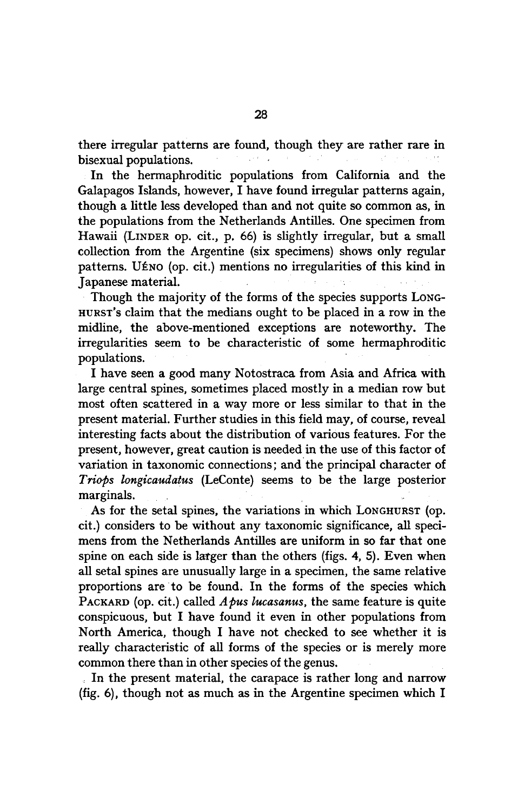there irregular patterns are found, though they are rather rare in bisexual populations.

In the hermaphroditic populations from California and the Galapagos Islands, however, I have found irregular patterns again, though <sup>a</sup> little less developed than and not quite so common as, in the populations from the Netherlands Antilles. One specimen from Hawaii (LINDER op. cit., p. 66) is slightly irregular, but a small collection from the Argentine (six specimens) shows only regular patterns. UÉNO (op. cit.) mentions no irregularities of this kind in Japanese material.

Though the majority of the forms of the species supports LONG-HURST's claim that the medians ought to be placed in a row in the midline, the above-mentioned exceptions are noteworthy. The irregularities seem to be characteristic of some hermaphroditic populations.

I have seen <sup>a</sup> good many Notostraca from Asia and Africa with large central spines, sometimes placed mostly in a median row but most often scattered in a way more or less similar to that in the present material. Further studies in this field may, of course, reveal interesting facts about the distribution of various features. For the present, however, great caution is needed in the use of this factor of variation in taxonomic connections; and the principal character of Triops longicaudatus (LeConte) seems to be the large posterior marginals.

As for the setal spines, the variations in which LONGHURST (op. cit.) considers to be without any taxonomic significance, all specimens from the Netherlands Antilles are uniform in so far that one spine on each side is larger than the others (figs. 4, 5). Even when all setal spines are unusually large in a specimen, the same relative proportions are to be found. In the forms of the species which PACKARD (op. cit.) called  $A$  *bus lucasanus*, the same feature is quite conspicuous, but I have found it even in other populations from North America, though I have not checked to see whether it is really characteristic of all forms of the species or is merely more common there than in other species of the genus.

In the present material, the carapace is rather long and narrow (fig. 6), though not as much as in the Argentine specimen which I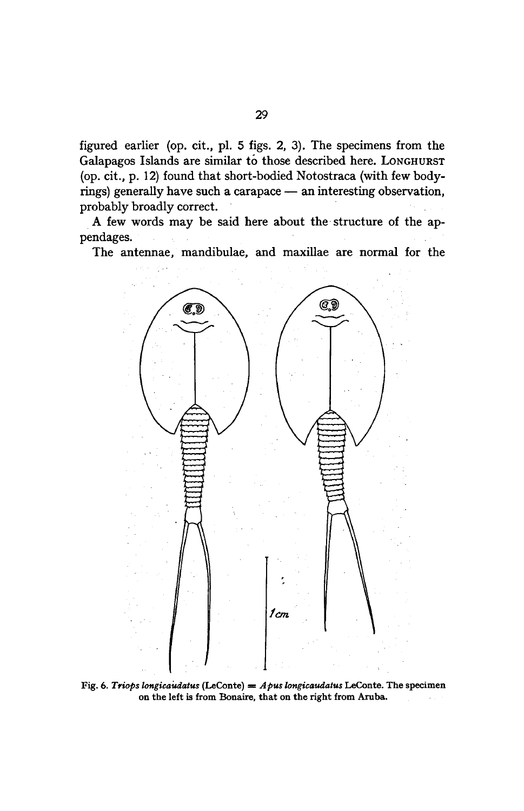figured earlier (op. cit., pi. 5 figs. 2, 3). The specimens from the Galapagos Islands are similar to those described here. LONGHURST (op. cit., p. 12) found that short-bodied Notostraca (with few bodyrings) generally have such <sup>a</sup> carapace — an interesting observation, probably broadly correct.

A few words may be said here about the structure of the appendages.

The antennae, mandibulae, and maxillae are normal for the



Fig. 6. Triops longicaudatus (LeConte) =  $A$  pus longicaudatus LeConte. The specimen onthe left is from Bonaire, that on the right from Aruba.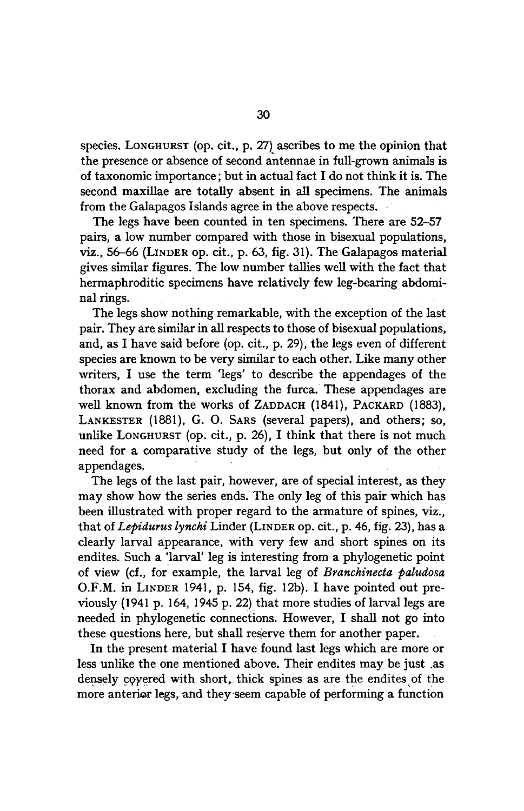species. LONGHURST (op. cit., p. 27) ascribes to me the opinion that the presence or absence of second antennae in full-grown animals is of taxonomic importance; but in actual fact I do not think it is. The second maxillae are totally absent in all specimens. The animals from the Galapagos Islands agree in the above respects.

The legs have been counted in ten specimens. There are 52-57 pairs, <sup>a</sup> low number compared with those in bisexual populations, viz., 56-66 (LINDER op. cit., p. 63, fig. 31). The Galapagos material gives similar figures. The low number tallies well with the fact that hermaphroditic specimens have relatively few leg-bearing abdominal rings.

The legs show nothing remarkable, with the exception of the last pair. They are similar in all respects to those of bisexual populations, and, as I have said before (op. cit., p. 29), the legs even of different species are known to be very similar to each other. Like many other writers, I use the term 'legs' to describe the appendages of the thorax and abdomen, excluding the furca. These appendages are well known from the works of ZADDACH (1841), PACKARD (1883), LANKESTER (1881), G. O. SARS (several papers), and others; so, unlike LONGHURST (op. cit., p. 26), I think that there is not much need for a comparative study of the legs, but only of the other appendages.

The legs of the last pair, however, are of special interest, as they may show how the series ends. The only leg of this pair which has been illustrated with proper regard to the armature of spines, viz., that of Lepidurus lynchi Linder (LINDER op. cit., p. 46, fig. 23), has a clearly larval appearance, with very few and short spines on its endites. Such a 'larval' leg is interesting from a phylogenetic point of view (cf., for example, the larval leg of Branchinecta paludosa O.F.M. in LINDER 1941, p. 154, fig. 12b). I have pointed out previously (1941 p. 164, <sup>1945</sup> p. 22) that more studies of larval legs are needed in phylogenetic connections. However, I shall not go into these questions here, but shall reserve them for another paper.

In the present material I have found last legs which are more or less unlike the one mentioned above. Their endites may be just .as densely covered with short, thick spines as are the endites of the more anterior legs, and they seem capable of performing a function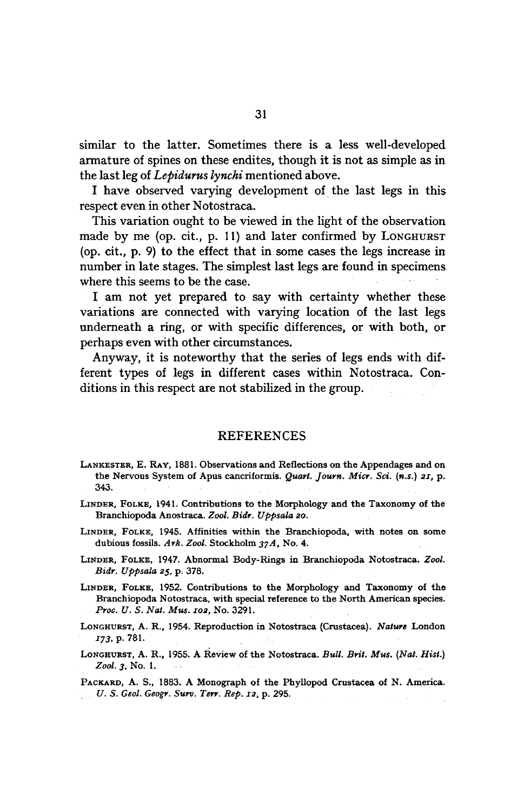similar to the latter. Sometimes there is a less well-developed armature of spines on these endites, though it is not as simple as in the last leg of Lebidurus lynchi mentioned above.

I have observed varying development of the last legs in this respect even in other Notostraca.

This variation ought to be viewed in the light of the observation made by me (op. cit., p. 11) and later confirmed by LONGHURST (op. cit., p. 9) to the effect that in some cases the legs increase in number in late stages. The simplest last legs are found in specimens where this seems to be the case.

I am not yet prepared to say with certainty whether these variations are connected with varying location of the last legs underneath <sup>a</sup> ring, or with specific differences, or with both, or perhaps even with other circumstances.

Anyway, it is noteworthy that the series of legs ends with different types of legs in different cases within Notostraca. Conditions in this respect are not stabilized in the group.

### REFERENCES

- LANKESTER, E. RAY, 1881. Observations and Reflections on the Appendages and on the Nervous System of Apus cancriformis. Quart. Journ. Micr. Sci. (n.s.) 21, p. 343.
- LINDER, FOLKE, 1941. Contributions to the Morphology and the Taxonomy of the Branchiopoda Anostraca. Zool. Bidr. Uppsala 20.
- LINDER, FOLKE, 1945. Affinities within the Branchiopoda, with notes on some dubious fossils. Ark. Zool. Stockholm 37A, No. 4.
- LINDER, FOLKE, 1947. Abnormal Body-Rings in Branchiopoda Notostraca. Zool. Bidr. Uppsala 25, p. 378.
- LINDER, FOLKE, 1952. Contributions to the Morphology and Taxonomy of the Branchiopoda Notostraca, with special reference to the North American species. Proc. U. S. Nat. Mus. 102, No. 3291.
- LONGHURST, A. R., 1954. Reproduction in Notostraca (Crustacea). Nature London 173, p. 781.

LONGHURST, A. R., 1955. A Review of the Notostraca. Bull. Brit. Mus. (Nat. Hist.) Zool. 3, No. 1.

PACKARD, A. S., 1883. A Monograph of the Phyllopod Crustacea of N. America. U. S. Geol. Geogr. Surv. Terr. Rep. 12, p. 295.